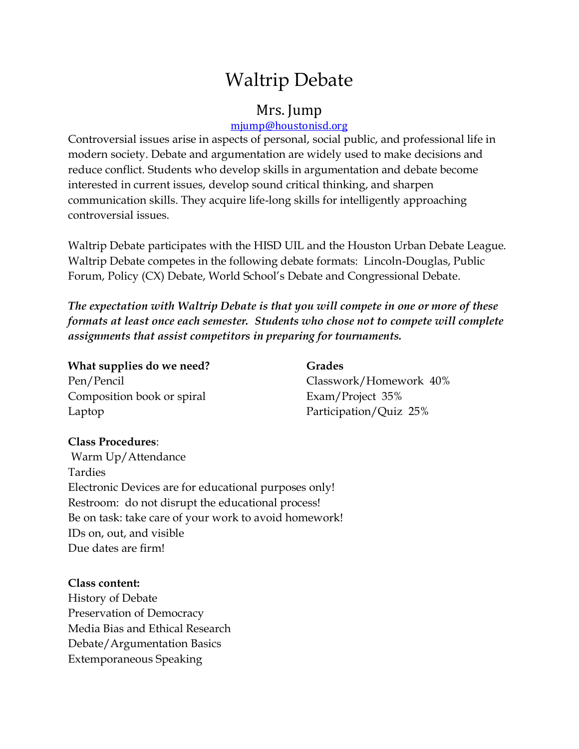# Waltrip Debate

## Mrs. Jump

### [mjump@houstonisd.org](mailto:mjump@houstonisd.org)

Controversial issues arise in aspects of personal, social public, and professional life in modern society. Debate and argumentation are widely used to make decisions and reduce conflict. Students who develop skills in argumentation and debate become interested in current issues, develop sound critical thinking, and sharpen communication skills. They acquire life-long skills for intelligently approaching controversial issues.

Waltrip Debate participates with the HISD UIL and the Houston Urban Debate League. Waltrip Debate competes in the following debate formats: Lincoln-Douglas, Public Forum, Policy (CX) Debate, World School's Debate and Congressional Debate.

*The expectation with Waltrip Debate is that you will compete in one or more of these formats at least once each semester. Students who chose not to compete will complete assignments that assist competitors in preparing for tournaments.*

#### **What supplies do we need?** Grades

Composition book or spiral Exam/Project 35% Laptop Participation/Quiz 25%

Pen/Pencil Classwork/Homework 40%

### **Class Procedures**:

Warm Up/Attendance Tardies Electronic Devices are for educational purposes only! Restroom: do not disrupt the educational process! Be on task: take care of your work to avoid homework! IDs on, out, and visible Due dates are firm!

### **Class content:**

History of Debate Preservation of Democracy Media Bias and Ethical Research Debate/Argumentation Basics Extemporaneous Speaking